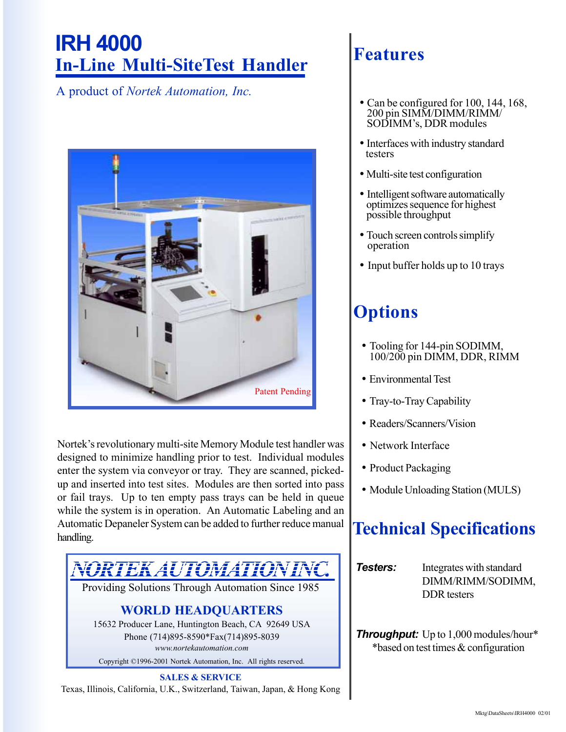# **IRH 4000 In-Line Multi-SiteTest Handler**

A product of *Nortek Automation, Inc.*



Nortek's revolutionary multi-site Memory Module test handler was designed to minimize handling prior to test. Individual modules enter the system via conveyor or tray. They are scanned, pickedup and inserted into test sites. Modules are then sorted into pass or fail trays. Up to ten empty pass trays can be held in queue while the system is in operation. An Automatic Labeling and an Automatic Depaneler System can be added to further reduce manual handling.



Texas, Illinois, California, U.K., Switzerland, Taiwan, Japan, & Hong Kong

#### **Features**

- Can be configured for 100, 144, 168, 200 pin SIMM/DIMM/RIMM/ SODIMMís, DDR modules
- Interfaces with industry standard testers
- Multi-site test configuration
- Intelligent software automatically optimizes sequence for highest possible throughput
- Touch screen controls simplify operation
- Input buffer holds up to 10 trays

## **Options**

- Tooling for 144-pin SODIMM, 100/200 pin DIMM, DDR, RIMM
- Environmental Test
- Tray-to-Tray Capability
- Readers/Scanners/Vision
- Network Interface
- Product Packaging
- Module Unloading Station (MULS)

## **Technical Specifications**

**Testers:** Integrates with standard DIMM/RIMM/SODIMM, DDR testers

*Throughput:* Up to 1,000 modules/hour\* \*based on test times & configuration